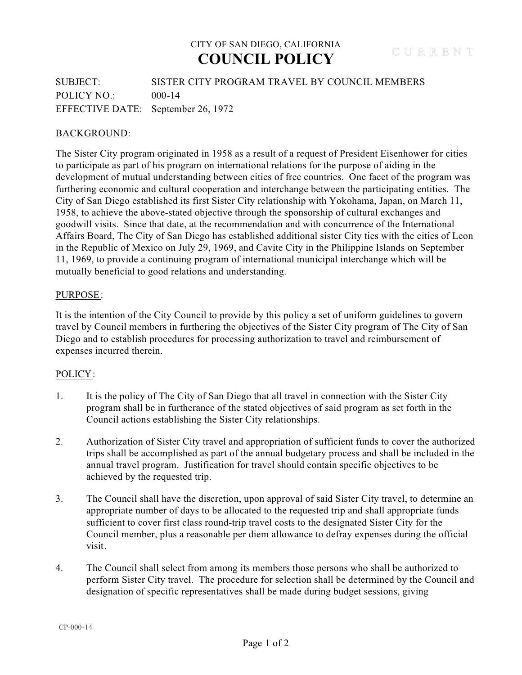## CITY OF SAN DIEGO, CALIFORNIA **COUNCIL POLICY**

SUBJECT: SISTER CITY PROGRAM TRAVEL BY COUNCIL MEMBERS POLICY NO.: 000-14 EFFECTIVE DATE: September 26, 1972

## BACKGROUND:

The Sister City program originated in 1958 as a result of a request of President Eisenhower for cities to participate as part of his program on international relations for the purpose of aiding in the development of mutual understanding between cities of free countries. One facet of the program was furthering economic and cultural cooperation and interchange between the participating entities. The City of San Diego established its first Sister City relationship with Yokohama, Japan, on March 11, 1958, to achieve the above-stated objective through the sponsorship of cultural exchanges and goodwill visits. Since that date, at the recommendation and with concurrence of the International Affairs Board, The City of San Diego has established additional sister City ties with the cities of Leon in the Republic of Mexico on July 29, 1969, and Cavite City in the Philippine Islands on September 11, 1969, to provide a continuing program of international municipal interchange which will be mutually beneficial to good relations and understanding.

### PURPOSE:

It is the intention of the City Council to provide by this policy a set of uniform guidelines to govern travel by Council members in furthering the objectives of the Sister City program of The City of San Diego and to establish procedures for processing authorization to travel and reimbursement of expenses incurred therein.

#### POLICY:

- 1. It is the policy of The City of San Diego that all travel in connection with the Sister City program shall be in furtherance of the stated objectives of said program as set forth in the Council actions establishing the Sister City relationships.
- 2. Authorization of Sister City travel and appropriation of sufficient funds to cover the authorized trips shall be accomplished as part of the annual budgetary process and shall be included in the annual travel program. Justification for travel should contain specific objectives to be achieved by the requested trip.
- 3. The Council shall have the discretion, upon approval of said Sister City travel, to determine an appropriate number of days to be allocated to the requested trip and shall appropriate funds sufficient to cover first class round-trip travel costs to the designated Sister City for the Council member, plus a reasonable per diem allowance to defray expenses during the official visit.
- 4. The Council shall select from among its members those persons who shall be authorized to perform Sister City travel. The procedure for selection shall be determined by the Council and designation of specific representatives shall be made during budget sessions, giving